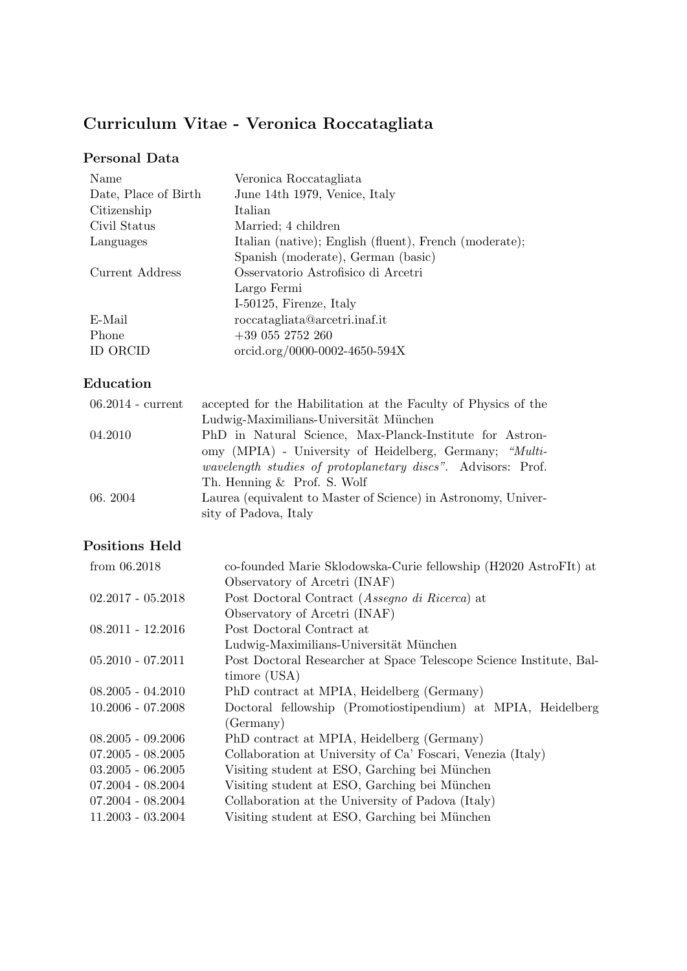# Curriculum Vitae - Veronica Roccatagliata

# Personal Data

| Name                 | Veronica Roccatagliata                                 |
|----------------------|--------------------------------------------------------|
| Date, Place of Birth | June 14th 1979, Venice, Italy                          |
| Citizenship          | Italian                                                |
| Civil Status         | Married; 4 children                                    |
| Languages            | Italian (native); English (fluent), French (moderate); |
|                      | Spanish (moderate), German (basic)                     |
| Current Address      | Osservatorio Astrofisico di Arcetri                    |
|                      | Largo Fermi                                            |
|                      | I-50125, Firenze, Italy                                |
| E-Mail               | roccatagliata@arcetri.inaf.it                          |
| Phone                | $+39$ 055 2752 260                                     |
| ID ORCID             | orcid.org/0000-0002-4650-594X                          |

# Education

| $06.2014$ - current | accepted for the Habilitation at the Faculty of Physics of the       |
|---------------------|----------------------------------------------------------------------|
|                     | Ludwig-Maximilians-Universität München                               |
| 04.2010             | PhD in Natural Science, Max-Planck-Institute for Astron-             |
|                     | omy (MPIA) - University of Heidelberg, Germany; "Multi-              |
|                     | <i>wavelength studies of protoplanetary discs</i> ". Advisors: Prof. |
|                     | Th. Henning & Prof. S. Wolf                                          |
| 06.2004             | Laurea (equivalent to Master of Science) in Astronomy, Univer-       |
|                     | sity of Padova, Italy                                                |

# Positions Held

| from $06.2018$      | co-founded Marie Sklodowska-Curie fellowship (H2020 AstroFIt) at    |
|---------------------|---------------------------------------------------------------------|
|                     | Observatory of Arcetri (INAF)                                       |
| $02.2017 - 05.2018$ | Post Doctoral Contract (Assegno di Ricerca) at                      |
|                     | Observatory of Arcetri (INAF)                                       |
| $08.2011 - 12.2016$ | Post Doctoral Contract at                                           |
|                     | Ludwig-Maximilians-Universität München                              |
| $05.2010 - 07.2011$ | Post Doctoral Researcher at Space Telescope Science Institute, Bal- |
|                     | timore (USA)                                                        |
| $08.2005 - 04.2010$ | PhD contract at MPIA, Heidelberg (Germany)                          |
| $10.2006 - 07.2008$ | Doctoral fellowship (Promotiostipendium) at MPIA, Heidelberg        |
|                     | (Germany)                                                           |
| $08.2005 - 09.2006$ | PhD contract at MPIA, Heidelberg (Germany)                          |
| $07.2005 - 08.2005$ | Collaboration at University of Ca' Foscari, Venezia (Italy)         |
| $03.2005 - 06.2005$ | Visiting student at ESO, Garching bei München                       |
| $07.2004 - 08.2004$ | Visiting student at ESO, Garching bei München                       |
| $07.2004 - 08.2004$ | Collaboration at the University of Padova (Italy)                   |
| $11.2003 - 03.2004$ | Visiting student at ESO, Garching bei München                       |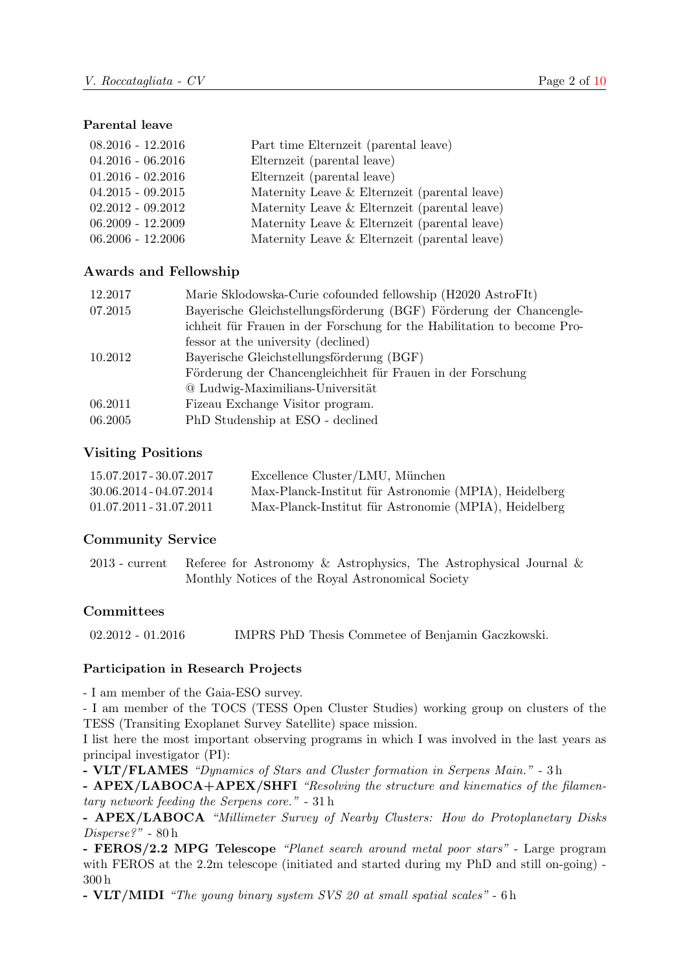#### Parental leave

| $08.2016 - 12.2016$ | Part time Elternzeit (parental leave)         |
|---------------------|-----------------------------------------------|
| $04.2016 - 06.2016$ | Elternzeit (parental leave)                   |
| $01.2016 - 02.2016$ | Elternzeit (parental leave)                   |
| $04.2015 - 09.2015$ | Maternity Leave & Elternzeit (parental leave) |
| $02.2012 - 09.2012$ | Maternity Leave & Elternzeit (parental leave) |
| $06.2009 - 12.2009$ | Maternity Leave & Elternzeit (parental leave) |
| $06.2006 - 12.2006$ | Maternity Leave & Elternzeit (parental leave) |

#### Awards and Fellowship

| 12.2017 | Marie Sklodowska-Curie cofounded fellowship (H2020 AstroFIt)            |
|---------|-------------------------------------------------------------------------|
| 07.2015 | Bayerische Gleichstellungsförderung (BGF) Förderung der Chancengle-     |
|         | ichheit für Frauen in der Forschung for the Habilitation to become Pro- |
|         | fessor at the university (declined)                                     |
| 10.2012 | Bayerische Gleichstellungsförderung (BGF)                               |
|         | Förderung der Chancengleichheit für Frauen in der Forschung             |
|         | @ Ludwig-Maximilians-Universität                                        |
| 06.2011 | Fizeau Exchange Visitor program.                                        |
| 06.2005 | PhD Studenship at ESO - declined                                        |

#### Visiting Positions

| 15.07.2017 - 30.07.2017   | Excellence Cluster/LMU, München                       |
|---------------------------|-------------------------------------------------------|
| $30.06.2014 - 04.07.2014$ | Max-Planck-Institut für Astronomie (MPIA), Heidelberg |
| $01.07.2011 - 31.07.2011$ | Max-Planck-Institut für Astronomie (MPIA), Heidelberg |

#### Community Service

2013 - current Referee for Astronomy & Astrophysics, The Astrophysical Journal & Monthly Notices of the Royal Astronomical Society

#### **Committees**

02.2012 - 01.2016 IMPRS PhD Thesis Commetee of Benjamin Gaczkowski.

#### Participation in Research Projects

- I am member of the Gaia-ESO survey.

- I am member of the TOCS (TESS Open Cluster Studies) working group on clusters of the TESS (Transiting Exoplanet Survey Satellite) space mission.

I list here the most important observing programs in which I was involved in the last years as principal investigator (PI):

- VLT/FLAMES "Dynamics of Stars and Cluster formation in Serpens Main." - 3 h

- APEX/LABOCA+APEX/SHFI "Resolving the structure and kinematics of the filamentary network feeding the Serpens core." - 31 h

- APEX/LABOCA "Millimeter Survey of Nearby Clusters: How do Protoplanetary Disks Disperse?" - 80 h

- FEROS/2.2 MPG Telescope "Planet search around metal poor stars" - Large program with FEROS at the 2.2m telescope (initiated and started during my PhD and still on-going) -300 h

- VLT/MIDI "The young binary system SVS 20 at small spatial scales" - 6 h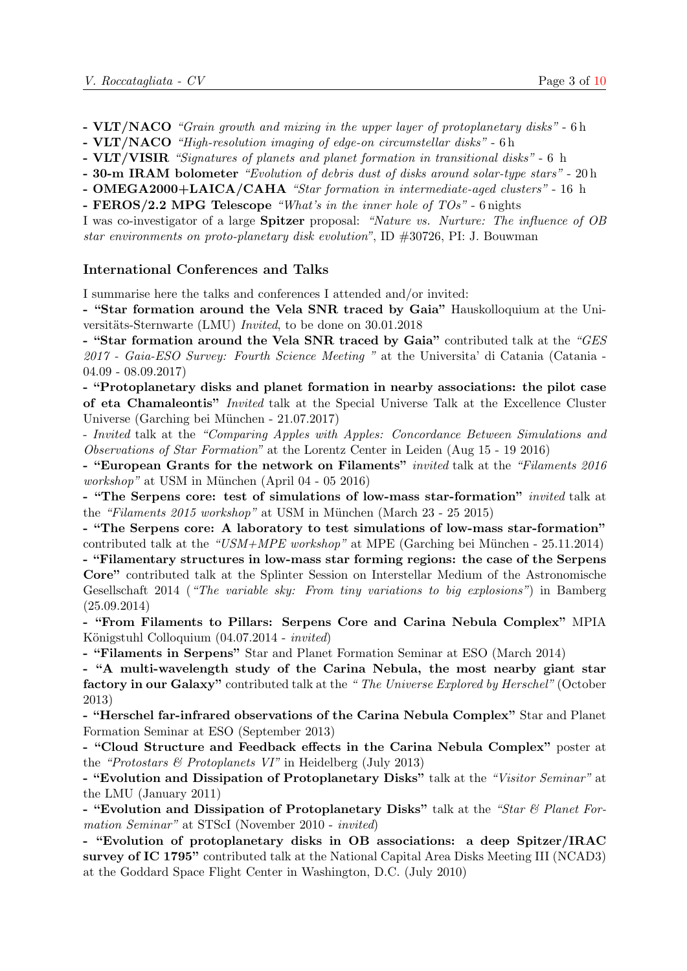- VLT/NACO "Grain growth and mixing in the upper layer of protoplanetary disks" 6 h
- VLT/NACO "High-resolution imaging of edge-on circumstellar disks" 6 h
- VLT/VISIR "Signatures of planets and planet formation in transitional disks" 6 h
- 30-m IRAM bolometer "Evolution of debris dust of disks around solar-type stars" 20 h
- OMEGA2000+LAICA/CAHA "Star formation in intermediate-aged clusters" 16 h
- FEROS/2.2 MPG Telescope "What's in the inner hole of  $TOs$ " 6 nights

I was co-investigator of a large Spitzer proposal: "Nature vs. Nurture: The influence of OB star environments on proto-planetary disk evolution", ID #30726, PI: J. Bouwman

#### International Conferences and Talks

I summarise here the talks and conferences I attended and/or invited:

- "Star formation around the Vela SNR traced by Gaia" Hauskolloquium at the Universitäts-Sternwarte (LMU) *Invited*, to be done on  $30.01.2018$ 

- "Star formation around the Vela SNR traced by Gaia" contributed talk at the "GES 2017 - Gaia-ESO Survey: Fourth Science Meeting " at the Universita' di Catania (Catania - 04.09 - 08.09.2017)

- "Protoplanetary disks and planet formation in nearby associations: the pilot case of eta Chamaleontis" Invited talk at the Special Universe Talk at the Excellence Cluster Universe (Garching bei München - 21.07.2017)

- Invited talk at the "Comparing Apples with Apples: Concordance Between Simulations and Observations of Star Formation" at the Lorentz Center in Leiden (Aug 15 - 19 2016)

- "European Grants for the network on Filaments" *invited* talk at the "Filaments 2016  $workshop"$  at USM in München (April 04 - 05 2016)

- "The Serpens core: test of simulations of low-mass star-formation" invited talk at the "Filaments  $2015$  workshop" at USM in München (March 23 - 25 2015)

- "The Serpens core: A laboratory to test simulations of low-mass star-formation" contributed talk at the "USM+MPE workshop" at MPE (Garching bei München - 25.11.2014)

- "Filamentary structures in low-mass star forming regions: the case of the Serpens Core" contributed talk at the Splinter Session on Interstellar Medium of the Astronomische Gesellschaft 2014 ("The variable sky: From tiny variations to big explosions") in Bamberg (25.09.2014)

- "From Filaments to Pillars: Serpens Core and Carina Nebula Complex" MPIA Königstuhl Colloquium  $(04.07.2014 - invited)$ 

- "Filaments in Serpens" Star and Planet Formation Seminar at ESO (March 2014)

- "A multi-wavelength study of the Carina Nebula, the most nearby giant star factory in our Galaxy" contributed talk at the "The Universe Explored by Herschel" (October 2013)

- "Herschel far-infrared observations of the Carina Nebula Complex" Star and Planet Formation Seminar at ESO (September 2013)

- "Cloud Structure and Feedback effects in the Carina Nebula Complex" poster at the "Protostars  $\mathcal C$  Protoplanets VI" in Heidelberg (July 2013)

- "Evolution and Dissipation of Protoplanetary Disks" talk at the "Visitor Seminar" at the LMU (January 2011)

- "Evolution and Dissipation of Protoplanetary Disks" talk at the "Star & Planet Formation Seminar" at STScI (November 2010 - invited)

- "Evolution of protoplanetary disks in OB associations: a deep Spitzer/IRAC survey of IC 1795" contributed talk at the National Capital Area Disks Meeting III (NCAD3) at the Goddard Space Flight Center in Washington, D.C. (July 2010)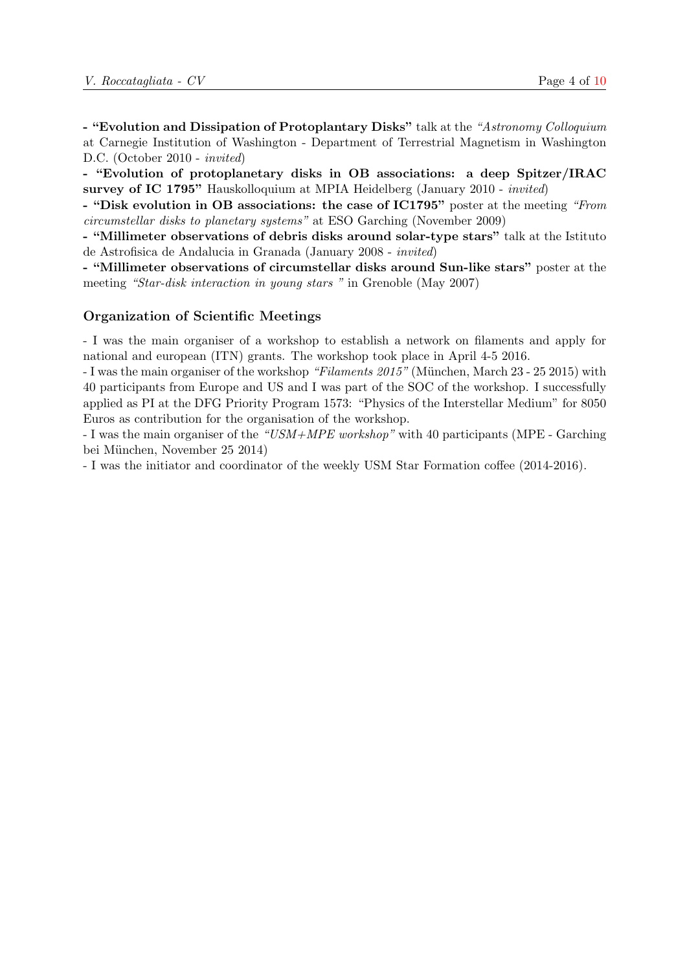- "Evolution and Dissipation of Protoplantary Disks" talk at the "Astronomy Colloquium at Carnegie Institution of Washington - Department of Terrestrial Magnetism in Washington D.C. (October 2010 - invited)

- "Evolution of protoplanetary disks in OB associations: a deep Spitzer/IRAC survey of IC 1795" Hauskolloquium at MPIA Heidelberg (January 2010 - invited)

- "Disk evolution in OB associations: the case of IC1795" poster at the meeting "From circumstellar disks to planetary systems" at ESO Garching (November 2009)

- "Millimeter observations of debris disks around solar-type stars" talk at the Istituto de Astrofisica de Andalucia in Granada (January 2008 - invited)

- "Millimeter observations of circumstellar disks around Sun-like stars" poster at the meeting "Star-disk interaction in young stars " in Grenoble (May 2007)

#### Organization of Scientific Meetings

- I was the main organiser of a workshop to establish a network on filaments and apply for national and european (ITN) grants. The workshop took place in April 4-5 2016.

- I was the main organiser of the workshop "Filaments 2015" (München, March 23 - 25 2015) with 40 participants from Europe and US and I was part of the SOC of the workshop. I successfully applied as PI at the DFG Priority Program 1573: "Physics of the Interstellar Medium" for 8050 Euros as contribution for the organisation of the workshop.

- I was the main organiser of the "USM+MPE workshop" with 40 participants (MPE - Garching bei München, November 25 2014)

- I was the initiator and coordinator of the weekly USM Star Formation coffee (2014-2016).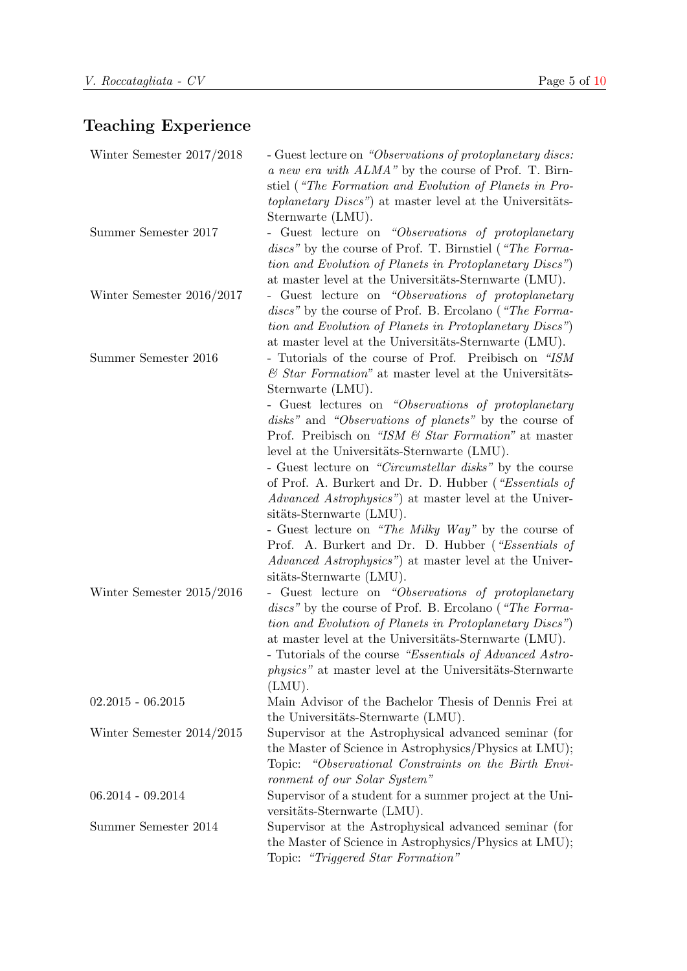# Teaching Experience

| Winter Semester 2017/2018   | - Guest lecture on "Observations of protoplanetary discs:<br>a new era with ALMA" by the course of Prof. T. Birn-<br>stiel ("The Formation and Evolution of Planets in Pro-<br>toplanetary Discs") at master level at the Universitäts-<br>Sternwarte (LMU).                                                                                                                                                                                                                                                                                                                                                                                                                                                                                                                              |
|-----------------------------|-------------------------------------------------------------------------------------------------------------------------------------------------------------------------------------------------------------------------------------------------------------------------------------------------------------------------------------------------------------------------------------------------------------------------------------------------------------------------------------------------------------------------------------------------------------------------------------------------------------------------------------------------------------------------------------------------------------------------------------------------------------------------------------------|
| Summer Semester 2017        | - Guest lecture on "Observations of protoplanetary<br>discs" by the course of Prof. T. Birnstiel ("The Forma-<br>tion and Evolution of Planets in Protoplanetary Discs")<br>at master level at the Universitäts-Sternwarte (LMU).                                                                                                                                                                                                                                                                                                                                                                                                                                                                                                                                                         |
| Winter Semester $2016/2017$ | - Guest lecture on "Observations of protoplanetary<br><i>discs</i> " by the course of Prof. B. Ercolano ("The Forma-<br>tion and Evolution of Planets in Protoplanetary Discs")<br>at master level at the Universitäts-Sternwarte (LMU).                                                                                                                                                                                                                                                                                                                                                                                                                                                                                                                                                  |
| Summer Semester 2016        | - Tutorials of the course of Prof. Preibisch on "ISM"<br>$\mathcal C$ Star Formation" at master level at the Universitäts-<br>Sternwarte (LMU).<br>- Guest lectures on "Observations of protoplanetary<br>disks" and "Observations of planets" by the course of<br>Prof. Preibisch on "ISM & Star Formation" at master<br>level at the Universitäts-Sternwarte (LMU).<br>- Guest lecture on "Circumstellar disks" by the course<br>of Prof. A. Burkert and Dr. D. Hubber ("Essentials of<br><i>Advanced Astrophysics</i> ") at master level at the Univer-<br>sitäts-Sternwarte (LMU).<br>- Guest lecture on "The Milky Way" by the course of<br>Prof. A. Burkert and Dr. D. Hubber ("Essentials of<br>Advanced Astrophysics") at master level at the Univer-<br>sitäts-Sternwarte (LMU). |
| Winter Semester $2015/2016$ | - Guest lecture on "Observations of protoplanetary<br><i>discs</i> " by the course of Prof. B. Ercolano ("The Forma-<br>tion and Evolution of Planets in Protoplanetary Discs")<br>at master level at the Universitäts-Sternwarte (LMU).<br>- Tutorials of the course "Essentials of Advanced Astro-<br><i>physics</i> " at master level at the Universitäts-Sternwarte<br>(LMU).                                                                                                                                                                                                                                                                                                                                                                                                         |
| $02.2015 - 06.2015$         | Main Advisor of the Bachelor Thesis of Dennis Frei at<br>the Universitäts-Sternwarte (LMU).                                                                                                                                                                                                                                                                                                                                                                                                                                                                                                                                                                                                                                                                                               |
| Winter Semester $2014/2015$ | Supervisor at the Astrophysical advanced seminar (for<br>the Master of Science in Astrophysics/Physics at LMU);<br>Topic: "Observational Constraints on the Birth Envi-<br>ronment of our Solar System"                                                                                                                                                                                                                                                                                                                                                                                                                                                                                                                                                                                   |
| $06.2014 - 09.2014$         | Supervisor of a student for a summer project at the Uni-<br>versitäts-Sternwarte (LMU).                                                                                                                                                                                                                                                                                                                                                                                                                                                                                                                                                                                                                                                                                                   |
| Summer Semester 2014        | Supervisor at the Astrophysical advanced seminar (for<br>the Master of Science in Astrophysics/Physics at LMU);<br>Topic: "Triggered Star Formation"                                                                                                                                                                                                                                                                                                                                                                                                                                                                                                                                                                                                                                      |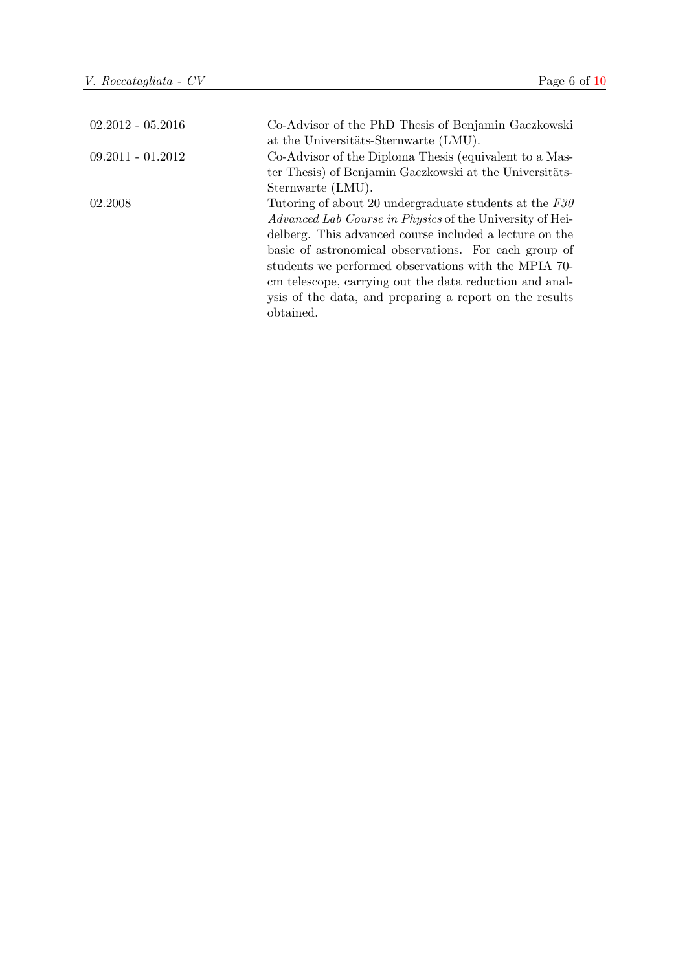| $02.2012 - 05.2016$ | Co-Advisor of the PhD Thesis of Benjamin Gaczkowski             |
|---------------------|-----------------------------------------------------------------|
|                     | at the Universitäts-Sternwarte (LMU).                           |
| $09.2011 - 01.2012$ | Co-Advisor of the Diploma Thesis (equivalent to a Mas-          |
|                     | ter Thesis) of Benjamin Gaczkowski at the Universitäts-         |
|                     | Sternwarte (LMU).                                               |
| 02.2008             | Tutoring of about 20 undergraduate students at the $F30$        |
|                     | <i>Advanced Lab Course in Physics</i> of the University of Hei- |
|                     | delberg. This advanced course included a lecture on the         |
|                     | basic of astronomical observations. For each group of           |
|                     | students we performed observations with the MPIA 70-            |
|                     | cm telescope, carrying out the data reduction and anal-         |
|                     | ysis of the data, and preparing a report on the results         |
|                     | obtained.                                                       |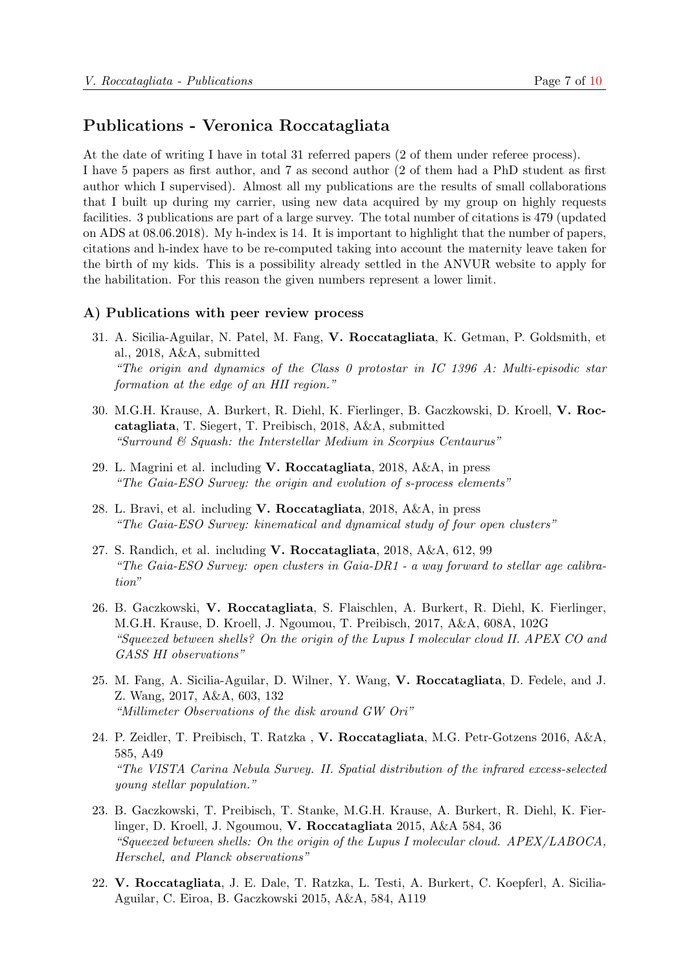### Publications - Veronica Roccatagliata

At the date of writing I have in total 31 referred papers (2 of them under referee process). I have 5 papers as first author, and 7 as second author (2 of them had a PhD student as first author which I supervised). Almost all my publications are the results of small collaborations that I built up during my carrier, using new data acquired by my group on highly requests facilities. 3 publications are part of a large survey. The total number of citations is 479 (updated on ADS at 08.06.2018). My h-index is 14. It is important to highlight that the number of papers, citations and h-index have to be re-computed taking into account the maternity leave taken for the birth of my kids. This is a possibility already settled in the ANVUR website to apply for the habilitation. For this reason the given numbers represent a lower limit.

#### A) Publications with peer review process

- 31. A. Sicilia-Aguilar, N. Patel, M. Fang, V. Roccatagliata, K. Getman, P. Goldsmith, et al., 2018, A&A, submitted "The origin and dynamics of the Class 0 protostar in IC 1396 A: Multi-episodic star formation at the edge of an HII region."
- 30. M.G.H. Krause, A. Burkert, R. Diehl, K. Fierlinger, B. Gaczkowski, D. Kroell, V. Roccatagliata, T. Siegert, T. Preibisch, 2018, A&A, submitted "Surround & Squash: the Interstellar Medium in Scorpius Centaurus"
- 29. L. Magrini et al. including V. Roccatagliata, 2018, A&A, in press "The Gaia-ESO Survey: the origin and evolution of s-process elements"
- 28. L. Bravi, et al. including V. Roccatagliata, 2018, A&A, in press "The Gaia-ESO Survey: kinematical and dynamical study of four open clusters"
- 27. S. Randich, et al. including V. Roccatagliata, 2018, A&A, 612, 99 "The Gaia-ESO Survey: open clusters in Gaia-DR1 - a way forward to stellar age calibration"
- 26. B. Gaczkowski, V. Roccatagliata, S. Flaischlen, A. Burkert, R. Diehl, K. Fierlinger, M.G.H. Krause, D. Kroell, J. Ngoumou, T. Preibisch, 2017, A&A, 608A, 102G "Squeezed between shells? On the origin of the Lupus I molecular cloud II. APEX CO and GASS HI observations"
- 25. M. Fang, A. Sicilia-Aguilar, D. Wilner, Y. Wang, V. Roccatagliata, D. Fedele, and J. Z. Wang, 2017, A&A, 603, 132 "Millimeter Observations of the disk around GW Ori"
- 24. P. Zeidler, T. Preibisch, T. Ratzka , V. Roccatagliata, M.G. Petr-Gotzens 2016, A&A, 585, A49 "The VISTA Carina Nebula Survey. II. Spatial distribution of the infrared excess-selected young stellar population."
- 23. B. Gaczkowski, T. Preibisch, T. Stanke, M.G.H. Krause, A. Burkert, R. Diehl, K. Fierlinger, D. Kroell, J. Ngoumou, V. Roccatagliata 2015, A&A 584, 36 "Squeezed between shells: On the origin of the Lupus I molecular cloud. APEX/LABOCA, Herschel, and Planck observations"
- 22. V. Roccatagliata, J. E. Dale, T. Ratzka, L. Testi, A. Burkert, C. Koepferl, A. Sicilia-Aguilar, C. Eiroa, B. Gaczkowski 2015, A&A, 584, A119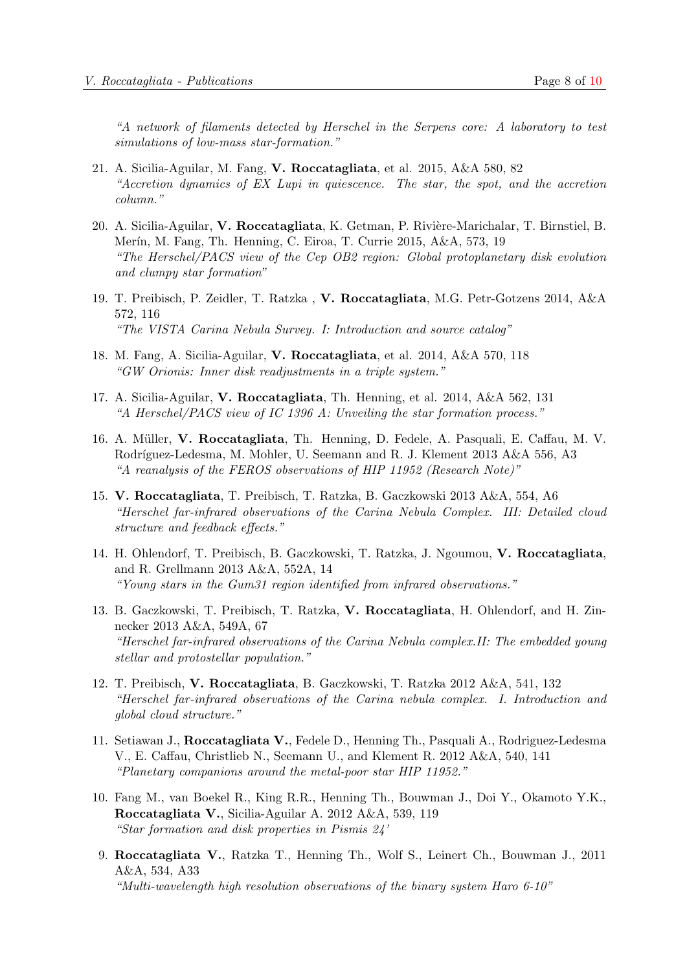"A network of filaments detected by Herschel in the Serpens core: A laboratory to test simulations of low-mass star-formation."

- 21. A. Sicilia-Aguilar, M. Fang, V. Roccatagliata, et al. 2015, A&A 580, 82 "Accretion dynamics of EX Lupi in quiescence. The star, the spot, and the accretion column."
- 20. A. Sicilia-Aguilar, V. Roccatagliata, K. Getman, P. Rivière-Marichalar, T. Birnstiel, B. Merín, M. Fang, Th. Henning, C. Eiroa, T. Currie 2015, A&A, 573, 19 "The Herschel/PACS view of the Cep OB2 region: Global protoplanetary disk evolution and clumpy star formation"
- 19. T. Preibisch, P. Zeidler, T. Ratzka , V. Roccatagliata, M.G. Petr-Gotzens 2014, A&A 572, 116 "The VISTA Carina Nebula Survey. I: Introduction and source catalog"
- 18. M. Fang, A. Sicilia-Aguilar, V. Roccatagliata, et al. 2014, A&A 570, 118 "GW Orionis: Inner disk readjustments in a triple system."
- 17. A. Sicilia-Aguilar, V. Roccatagliata, Th. Henning, et al. 2014, A&A 562, 131 "A Herschel/PACS view of IC 1396 A: Unveiling the star formation process."
- 16. A. M¨uller, V. Roccatagliata, Th. Henning, D. Fedele, A. Pasquali, E. Caffau, M. V. Rodríguez-Ledesma, M. Mohler, U. Seemann and R. J. Klement 2013 A&A 556, A3 "A reanalysis of the FEROS observations of HIP 11952 (Research Note)"
- 15. V. Roccatagliata, T. Preibisch, T. Ratzka, B. Gaczkowski 2013 A&A, 554, A6 "Herschel far-infrared observations of the Carina Nebula Complex. III: Detailed cloud structure and feedback effects."
- 14. H. Ohlendorf, T. Preibisch, B. Gaczkowski, T. Ratzka, J. Ngoumou, V. Roccatagliata, and R. Grellmann 2013 A&A, 552A, 14 "Young stars in the Gum31 region identified from infrared observations."
- 13. B. Gaczkowski, T. Preibisch, T. Ratzka, V. Roccatagliata, H. Ohlendorf, and H. Zinnecker 2013 A&A, 549A, 67 "Herschel far-infrared observations of the Carina Nebula complex.II: The embedded young stellar and protostellar population."
- 12. T. Preibisch, V. Roccatagliata, B. Gaczkowski, T. Ratzka 2012 A&A, 541, 132 "Herschel far-infrared observations of the Carina nebula complex. I. Introduction and global cloud structure."
- 11. Setiawan J., Roccatagliata V., Fedele D., Henning Th., Pasquali A., Rodriguez-Ledesma V., E. Caffau, Christlieb N., Seemann U., and Klement R. 2012 A&A, 540, 141 "Planetary companions around the metal-poor star HIP 11952."
- 10. Fang M., van Boekel R., King R.R., Henning Th., Bouwman J., Doi Y., Okamoto Y.K., Roccatagliata V., Sicilia-Aguilar A. 2012 A&A, 539, 119 "Star formation and disk properties in Pismis 24'
- 9. Roccatagliata V., Ratzka T., Henning Th., Wolf S., Leinert Ch., Bouwman J., 2011 A&A, 534, A33 "Multi-wavelength high resolution observations of the binary system Haro 6-10"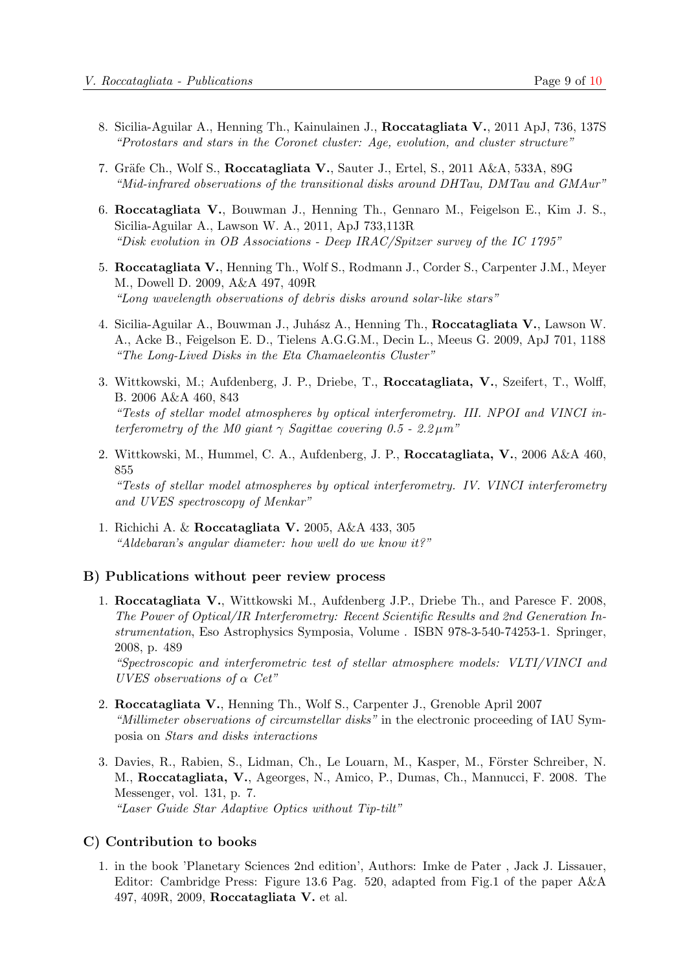- 8. Sicilia-Aguilar A., Henning Th., Kainulainen J., Roccatagliata V., 2011 ApJ, 736, 137S "Protostars and stars in the Coronet cluster: Age, evolution, and cluster structure"
- 7. Gräfe Ch., Wolf S., Roccatagliata V., Sauter J., Ertel, S., 2011 A&A, 533A, 89G "Mid-infrared observations of the transitional disks around DHTau, DMTau and GMAur"
- 6. Roccatagliata V., Bouwman J., Henning Th., Gennaro M., Feigelson E., Kim J. S., Sicilia-Aguilar A., Lawson W. A., 2011, ApJ 733,113R "Disk evolution in OB Associations - Deep IRAC/Spitzer survey of the IC 1795"
- 5. Roccatagliata V., Henning Th., Wolf S., Rodmann J., Corder S., Carpenter J.M., Meyer M., Dowell D. 2009, A&A 497, 409R "Long wavelength observations of debris disks around solar-like stars"
- 4. Sicilia-Aguilar A., Bouwman J., Juh´asz A., Henning Th., Roccatagliata V., Lawson W. A., Acke B., Feigelson E. D., Tielens A.G.G.M., Decin L., Meeus G. 2009, ApJ 701, 1188 "The Long-Lived Disks in the Eta Chamaeleontis Cluster"
- 3. Wittkowski, M.; Aufdenberg, J. P., Driebe, T., Roccatagliata, V., Szeifert, T., Wolff, B. 2006 A&A 460, 843 "Tests of stellar model atmospheres by optical interferometry. III. NPOI and VINCI interferometry of the M0 giant  $\gamma$  Sagittae covering 0.5 - 2.2  $\mu$ m<sup>"</sup>
- 2. Wittkowski, M., Hummel, C. A., Aufdenberg, J. P., Roccatagliata, V., 2006 A&A 460, 855 "Tests of stellar model atmospheres by optical interferometry. IV. VINCI interferometry and UVES spectroscopy of Menkar"
- 1. Richichi A. & Roccatagliata V. 2005, A&A 433, 305 "Aldebaran's angular diameter: how well do we know it?"

#### B) Publications without peer review process

1. Roccatagliata V., Wittkowski M., Aufdenberg J.P., Driebe Th., and Paresce F. 2008, The Power of Optical/IR Interferometry: Recent Scientific Results and 2nd Generation Instrumentation, Eso Astrophysics Symposia, Volume . ISBN 978-3-540-74253-1. Springer, 2008, p. 489

"Spectroscopic and interferometric test of stellar atmosphere models: VLTI/VINCI and UVES observations of  $\alpha$  Cet"

- 2. Roccatagliata V., Henning Th., Wolf S., Carpenter J., Grenoble April 2007 "Millimeter observations of circumstellar disks" in the electronic proceeding of IAU Symposia on Stars and disks interactions
- 3. Davies, R., Rabien, S., Lidman, Ch., Le Louarn, M., Kasper, M., Förster Schreiber, N. M., Roccatagliata, V., Ageorges, N., Amico, P., Dumas, Ch., Mannucci, F. 2008. The Messenger, vol. 131, p. 7. "Laser Guide Star Adaptive Optics without Tip-tilt"

#### C) Contribution to books

1. in the book 'Planetary Sciences 2nd edition', Authors: Imke de Pater , Jack J. Lissauer, Editor: Cambridge Press: Figure 13.6 Pag. 520, adapted from Fig.1 of the paper A&A 497, 409R, 2009, Roccatagliata V. et al.